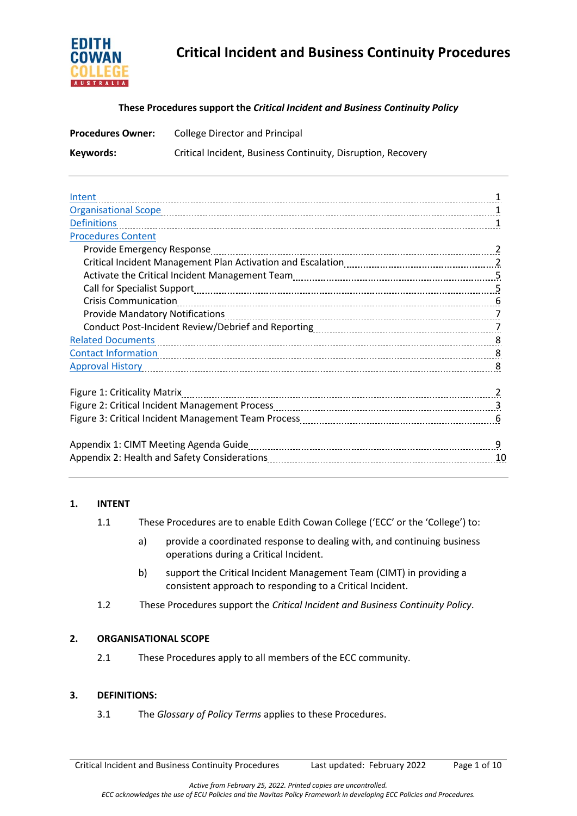

# **Critical Incident and Business Continuity Procedures**

#### **These Procedures support the** *Critical Incident and Business Continuity Policy*

| <b>Procedures Owner:</b> | College Director and Principal                               |  |
|--------------------------|--------------------------------------------------------------|--|
| Keywords:                | Critical Incident, Business Continuity, Disruption, Recovery |  |

| Intent                       |
|------------------------------|
|                              |
| <b>Definitions</b>           |
| <b>Procedures Content</b>    |
|                              |
|                              |
|                              |
|                              |
| <b>Crisis Communication</b>  |
|                              |
|                              |
| <b>Related Documents</b>     |
|                              |
|                              |
|                              |
| Figure 1: Criticality Matrix |
|                              |
|                              |
|                              |
| 9                            |
| 10                           |

#### **1. INTENT**

- 1.1 These Procedures are to enable Edith Cowan College ('ECC' or the 'College') to:
	- a) provide a coordinated response to dealing with, and continuing business operations during a Critical Incident.
	- b) support the Critical Incident Management Team (CIMT) in providing a consistent approach to responding to a Critical Incident.
- 1.2 These Procedures support the *Critical Incident and Business Continuity Policy*.

# **2. ORGANISATIONAL SCOPE**

2.1 These Procedures apply to all members of the ECC community.

#### **3. DEFINITIONS:**

3.1 The *Glossary of Policy Terms* applies to these Procedures.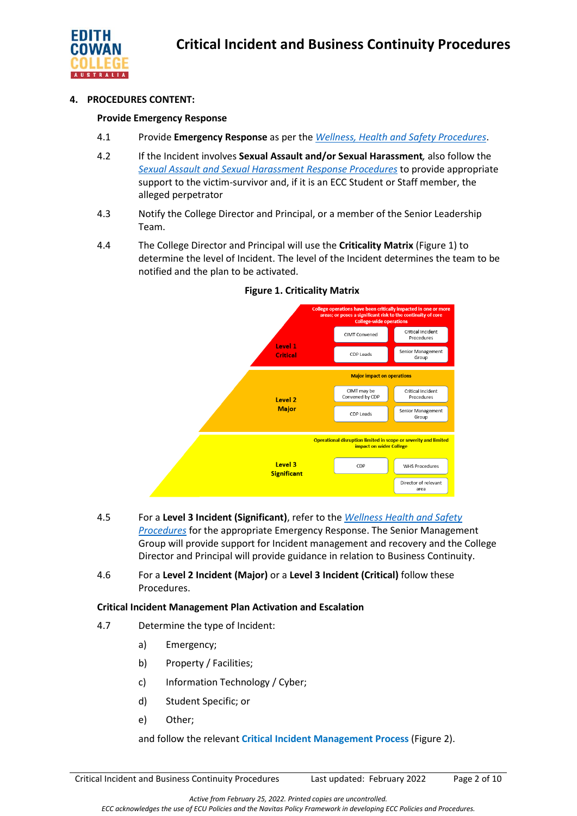

### **4. PROCEDURES CONTENT:**

#### **Provide Emergency Response**

- 4.1 Provide **Emergency Response** as per the *[Wellness, Health and Safety Procedures](https://4ba8a17f01f843446fde-df22fcb26686c8be7ff55766cd6a4144.ssl.cf6.rackcdn.com/73_Wellness_Health_and_Safety_Procedures.pdf)*.
- 4.2 If the Incident involves **Sexual Assault and/or Sexual Harassment***,* also follow the *[Sexual Assault and Sexual Harassment Response Procedures](https://4ba8a17f01f843446fde-df22fcb26686c8be7ff55766cd6a4144.ssl.cf6.rackcdn.com/73_ECC_Sexual_Assault_and_Sexual_Harassment_Prevention_and_Response_Procedures.pdf)* to provide appropriate support to the victim-survivor and, if it is an ECC Student or Staff member, the alleged perpetrator
- 4.3 Notify the College Director and Principal, or a member of the Senior Leadership Team.
- 4.4 The College Director and Principal will use the **Criticality Matrix** (Figure 1) to determine the level of Incident. The level of the Incident determines the team to be notified and the plan to be activated.



#### **Figure 1. Criticality Matrix**

- 4.5 For a **Level 3 Incident (Significant)**, refer to the *Wellness Health and Safety Procedures* for the appropriate Emergency Response. The Senior Management Group will provide support for Incident management and recovery and the College Director and Principal will provide guidance in relation to Business Continuity.
- 4.6 For a **Level 2 Incident (Major)** or a **Level 3 Incident (Critical)** follow these Procedures.

# **Critical Incident Management Plan Activation and Escalation**

- 4.7 Determine the type of Incident:
	- a) Emergency;
	- b) Property / Facilities;
	- c) Information Technology / Cyber;
	- d) Student Specific; or
	- e) Other;

and follow the relevant **Critical Incident Management Process** (Figure 2).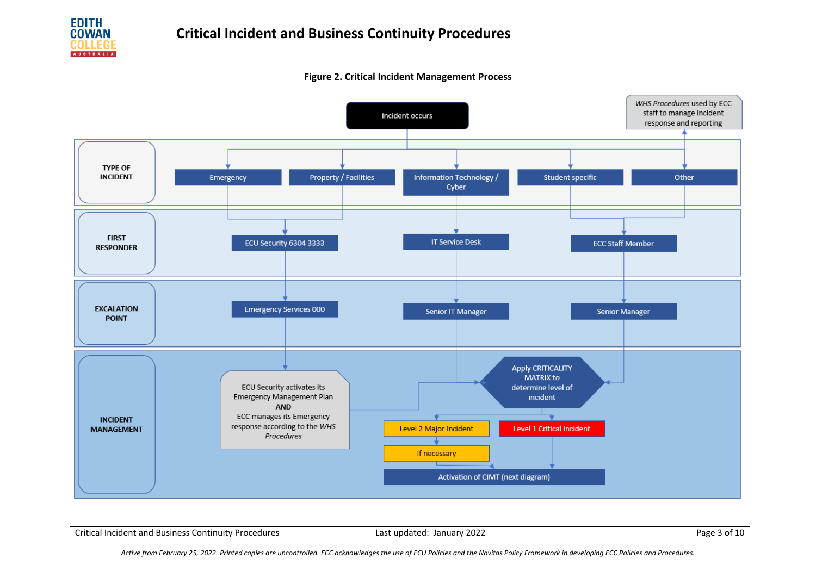

#### **Figure 2. Critical Incident Management Process**



Critical Incident and Business Continuity Procedures **Last updated: January 2022** Page 3 of 10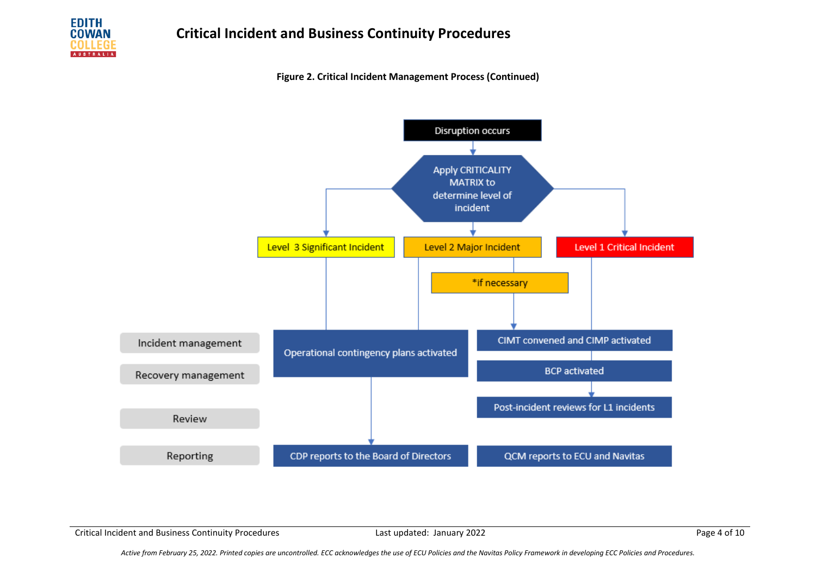

**Figure 2. Critical Incident Management Process (Continued)**



Critical Incident and Business Continuity Procedures **Last updated: January 2022** Page 4 of 10

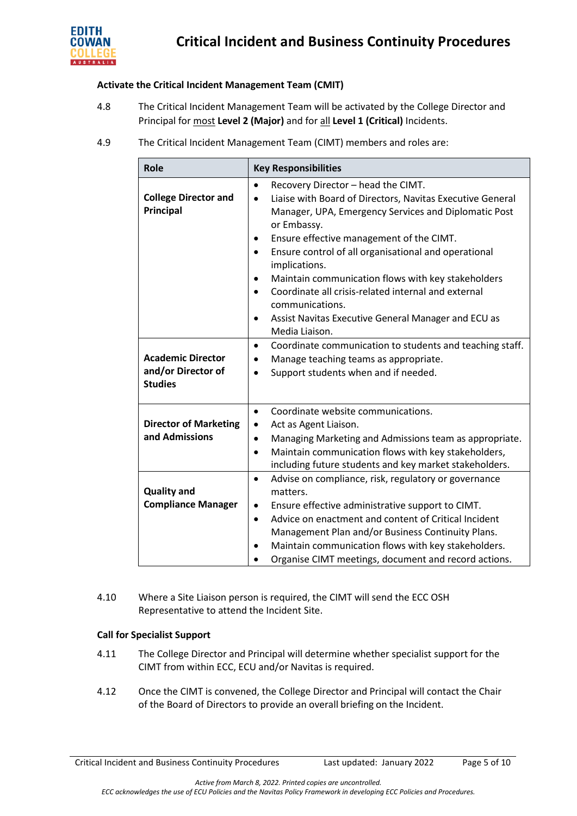

#### **Activate the Critical Incident Management Team (CMIT)**

- 4.8 The Critical Incident Management Team will be activated by the College Director and Principal for most **Level 2 (Major)** and for all **Level 1 (Critical)** Incidents.
- 4.9 The Critical Incident Management Team (CIMT) members and roles are:

| Role                                                             | <b>Key Responsibilities</b>                                                                                                                                                                                                                                                                                                                                                                                                                                                                                                                                           |  |  |
|------------------------------------------------------------------|-----------------------------------------------------------------------------------------------------------------------------------------------------------------------------------------------------------------------------------------------------------------------------------------------------------------------------------------------------------------------------------------------------------------------------------------------------------------------------------------------------------------------------------------------------------------------|--|--|
| <b>College Director and</b><br>Principal                         | Recovery Director - head the CIMT.<br>$\bullet$<br>Liaise with Board of Directors, Navitas Executive General<br>$\bullet$<br>Manager, UPA, Emergency Services and Diplomatic Post<br>or Embassy.<br>Ensure effective management of the CIMT.<br>$\bullet$<br>Ensure control of all organisational and operational<br>$\bullet$<br>implications.<br>Maintain communication flows with key stakeholders<br>٠<br>Coordinate all crisis-related internal and external<br>$\bullet$<br>communications.<br>Assist Navitas Executive General Manager and ECU as<br>$\bullet$ |  |  |
| <b>Academic Director</b><br>and/or Director of<br><b>Studies</b> | Media Liaison.<br>Coordinate communication to students and teaching staff.<br>$\bullet$<br>Manage teaching teams as appropriate.<br>$\bullet$<br>Support students when and if needed.<br>$\bullet$                                                                                                                                                                                                                                                                                                                                                                    |  |  |
| <b>Director of Marketing</b><br>and Admissions                   | Coordinate website communications.<br>$\bullet$<br>Act as Agent Liaison.<br>$\bullet$<br>Managing Marketing and Admissions team as appropriate.<br>$\bullet$<br>Maintain communication flows with key stakeholders,<br>$\bullet$<br>including future students and key market stakeholders.                                                                                                                                                                                                                                                                            |  |  |
| <b>Quality and</b><br><b>Compliance Manager</b>                  | Advise on compliance, risk, regulatory or governance<br>$\bullet$<br>matters.<br>Ensure effective administrative support to CIMT.<br>$\bullet$<br>Advice on enactment and content of Critical Incident<br>$\bullet$<br>Management Plan and/or Business Continuity Plans.<br>Maintain communication flows with key stakeholders.<br>$\bullet$<br>Organise CIMT meetings, document and record actions.                                                                                                                                                                  |  |  |

4.10 Where a Site Liaison person is required, the CIMT will send the ECC OSH Representative to attend the Incident Site.

#### **Call for Specialist Support**

- 4.11 The College Director and Principal will determine whether specialist support for the CIMT from within ECC, ECU and/or Navitas is required.
- 4.12 Once the CIMT is convened, the College Director and Principal will contact the Chair of the Board of Directors to provide an overall briefing on the Incident.

Critical Incident and Business Continuity Procedures Last updated: January 2022 Page 5 of 10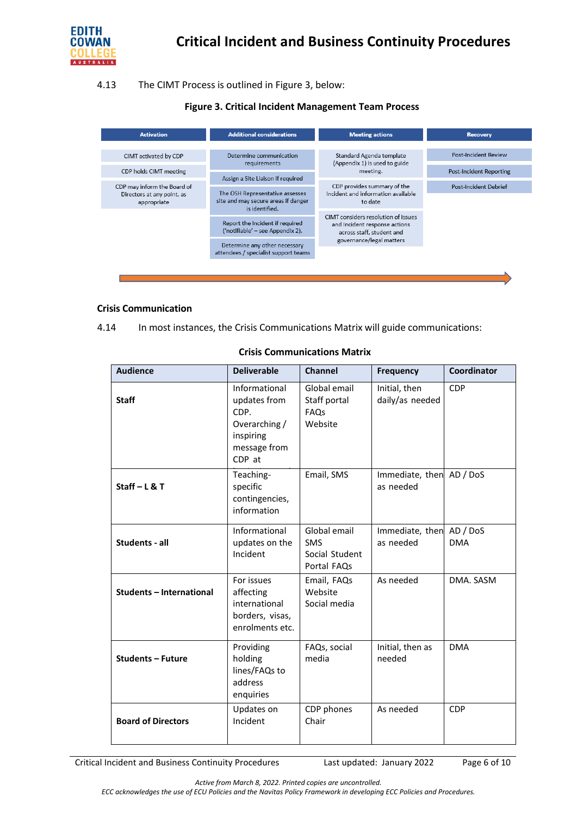

#### 4.13 The CIMT Process is outlined in Figure 3, below:

### **Figure 3. Critical Incident Management Team Process**

| <b>Activation</b>                                                        | <b>Additional considerations</b>                                                                                                             | <b>Meeting actions</b>                                                                            | <b>Recovery</b>         |
|--------------------------------------------------------------------------|----------------------------------------------------------------------------------------------------------------------------------------------|---------------------------------------------------------------------------------------------------|-------------------------|
| CIMT activated by CDP                                                    | Determine communication<br>requirements                                                                                                      | Standard Agenda template<br>(Appendix 1) is used to guide                                         | Post-Incident Review    |
| CDP holds CIMT meeting                                                   | Assign a Site Liaison if required                                                                                                            | meeting.                                                                                          | Post-Incident Reporting |
| CDP may inform the Board of<br>Directors at any point, as<br>appropriate | The OSH Representative assesses<br>site and may secure areas if danger<br>is identified.                                                     | CDP provides summary of the<br>Incident and information available<br>to date                      | Post-Incident Debrief   |
|                                                                          | Report the Incident if required<br>('notifiable' - see Appendix 2).<br>Determine any other necessary<br>attendees / specialist support teams | CIMT considers resolution of issues<br>and Incident response actions<br>across staff, student and |                         |
|                                                                          |                                                                                                                                              | governance/legal matters                                                                          |                         |
|                                                                          |                                                                                                                                              |                                                                                                   |                         |

#### **Crisis Communication**

| 4.14 |  |  | In most instances, the Crisis Communications Matrix will guide communications: |
|------|--|--|--------------------------------------------------------------------------------|
|      |  |  |                                                                                |

| <b>Audience</b>                 | <b>Deliverable</b>                                                                            | <b>Channel</b>                                              | <b>Frequency</b>                      | Coordinator |
|---------------------------------|-----------------------------------------------------------------------------------------------|-------------------------------------------------------------|---------------------------------------|-------------|
| <b>Staff</b>                    | Informational<br>updates from<br>CDP.<br>Overarching /<br>inspiring<br>message from<br>CDP at | Global email<br>Staff portal<br>FAQs<br>Website             | Initial, then<br>daily/as needed      | <b>CDP</b>  |
| Staff $-$ L & T                 | Teaching-<br>specific<br>contingencies,<br>information                                        | Email, SMS                                                  | Immediate, then AD / DoS<br>as needed |             |
| Students - all                  | Informational<br>updates on the<br>Incident                                                   | Global email<br><b>SMS</b><br>Social Student<br>Portal FAQs | Immediate, then AD / DoS<br>as needed | <b>DMA</b>  |
| <b>Students - International</b> | For issues<br>affecting<br>international<br>borders, visas,<br>enrolments etc.                | Email, FAQs<br>Website<br>Social media                      | As needed                             | DMA. SASM   |
| <b>Students - Future</b>        | Providing<br>holding<br>lines/FAQs to<br>address<br>enquiries                                 | FAQs, social<br>media                                       | Initial, then as<br>needed            | <b>DMA</b>  |
| <b>Board of Directors</b>       | Updates on<br>Incident                                                                        | CDP phones<br>Chair                                         | As needed                             | <b>CDP</b>  |

#### **Crisis Communications Matrix**

Critical Incident and Business Continuity Procedures Last updated: January 2022 Page 6 of 10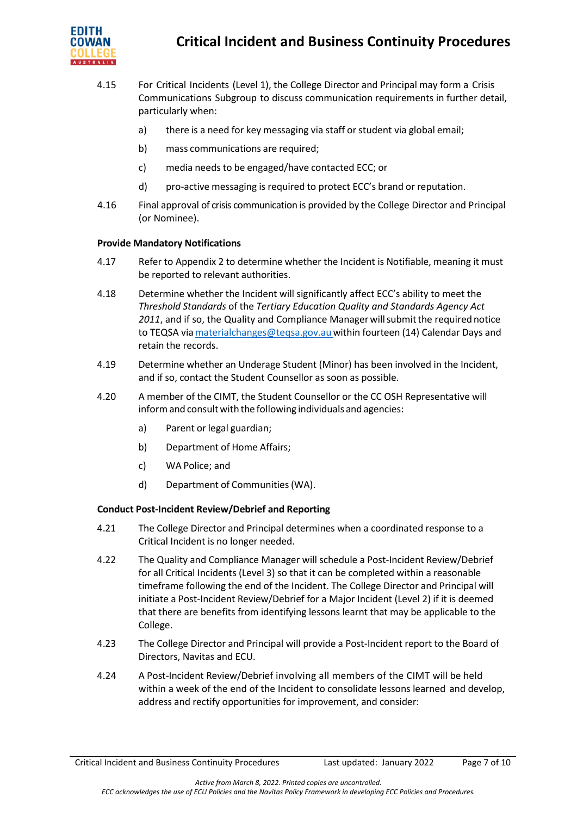

- 4.15 For Critical Incidents (Level 1), the College Director and Principal may form a Crisis Communications Subgroup to discuss communication requirements in further detail, particularly when:
	- a) there is a need for key messaging via staff or student via global email;
	- b) mass communications are required;
	- c) media needs to be engaged/have contacted ECC; or
	- d) pro-active messaging is required to protect ECC's brand or reputation.
- 4.16 Final approval of crisis communication is provided by the College Director and Principal (or Nominee).

#### **Provide Mandatory Notifications**

- 4.17 Refer to Appendix 2 to determine whether the Incident is Notifiable, meaning it must be reported to relevant authorities.
- 4.18 Determine whether the Incident will significantly affect ECC's ability to meet the *Threshold Standards* of the *Tertiary Education Quality and Standards Agency Act* 2011, and if so, the Quality and Compliance Manager will submit the required notice to TEQSA via materialchanges@teqsa.gov.au within fourteen (14) Calendar Days and retain the records.
- 4.19 Determine whether an Underage Student (Minor) has been involved in the Incident, and if so, contact the Student Counsellor as soon as possible.
- 4.20 A member of the CIMT, the Student Counsellor or the CC OSH Representative will inform and consult with the following individuals and agencies:
	- a) Parent or legal guardian;
	- b) Department of Home Affairs;
	- c) WA Police; and
	- d) Department of Communities(WA).

#### **Conduct Post-Incident Review/Debrief and Reporting**

- 4.21 The College Director and Principal determines when a coordinated response to a Critical Incident is no longer needed.
- 4.22 The Quality and Compliance Manager will schedule a Post-Incident Review/Debrief for all Critical Incidents (Level 3) so that it can be completed within a reasonable timeframe following the end of the Incident. The College Director and Principal will initiate a Post-Incident Review/Debrief for a Major Incident (Level 2) if it is deemed that there are benefits from identifying lessons learnt that may be applicable to the College.
- 4.23 The College Director and Principal will provide a Post-Incident report to the Board of Directors, Navitas and ECU.
- 4.24 A Post-Incident Review/Debrief involving all members of the CIMT will be held within a week of the end of the Incident to consolidate lessons learned and develop, address and rectify opportunities for improvement, and consider: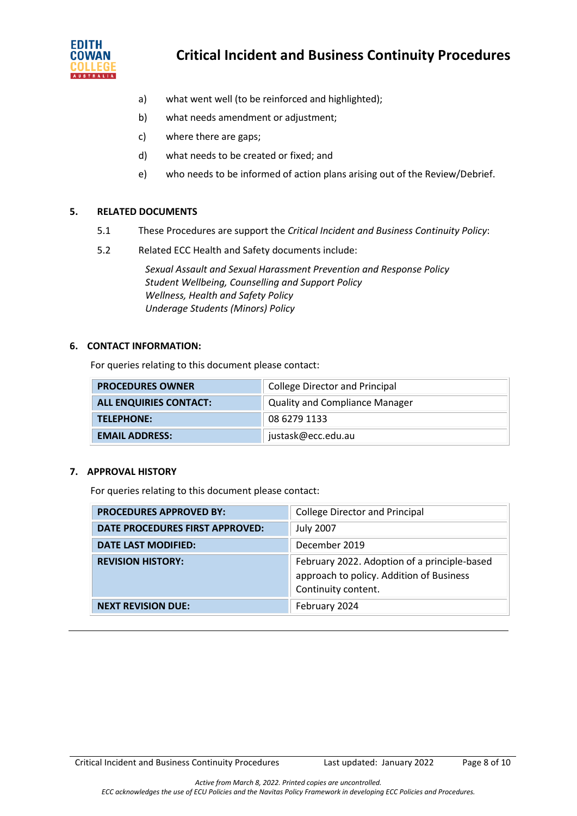

# **Critical Incident and Business Continuity Procedures**

- a) what went well (to be reinforced and highlighted);
- b) what needs amendment or adjustment;
- c) where there are gaps;
- d) what needs to be created or fixed; and
- e) who needs to be informed of action plans arising out of the Review/Debrief.

# **5. RELATED DOCUMENTS**

- 5.1 These Procedures are support the *Critical Incident and Business Continuity Policy*:
- 5.2 Related ECC Health and Safety documents include:

*Sexual Assault and Sexual Harassment Prevention and Response Policy Student Wellbeing, Counselling and Support Policy Wellness, Health and Safety Policy Underage Students (Minors) Policy*

#### **6. CONTACT INFORMATION:**

For queries relating to this document please contact:

| <b>PROCEDURES OWNER</b>       | <b>College Director and Principal</b> |
|-------------------------------|---------------------------------------|
| <b>ALL ENQUIRIES CONTACT:</b> | <b>Quality and Compliance Manager</b> |
| <b>TELEPHONE:</b>             | 08 6279 1133                          |
| <b>EMAIL ADDRESS:</b>         | justask@ecc.edu.au                    |

#### **7. APPROVAL HISTORY**

For queries relating to this document please contact:

| <b>PROCEDURES APPROVED BY:</b>  | <b>College Director and Principal</b>                                                                           |
|---------------------------------|-----------------------------------------------------------------------------------------------------------------|
| DATE PROCEDURES FIRST APPROVED: | <b>July 2007</b>                                                                                                |
| <b>DATE LAST MODIFIED:</b>      | December 2019                                                                                                   |
| <b>REVISION HISTORY:</b>        | February 2022. Adoption of a principle-based<br>approach to policy. Addition of Business<br>Continuity content. |
| <b>NEXT REVISION DUE:</b>       | February 2024                                                                                                   |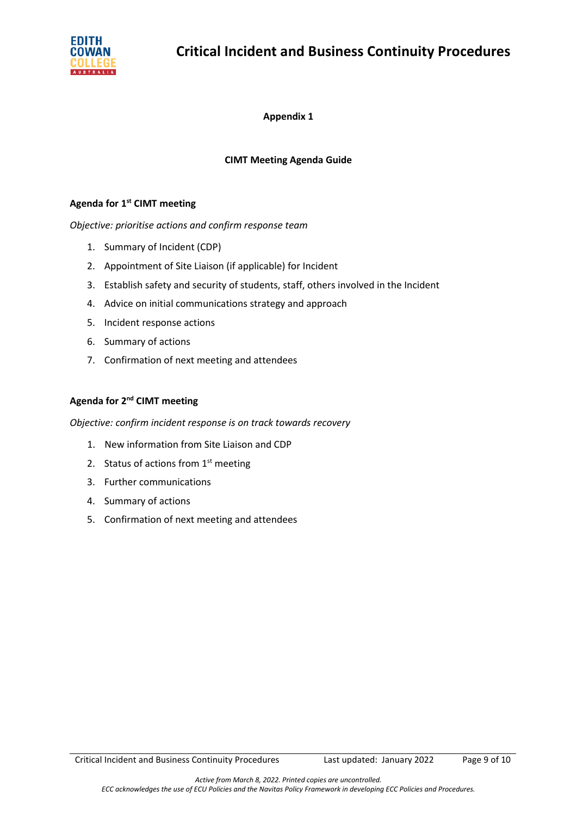

**Appendix 1**

# **CIMT Meeting Agenda Guide**

# **Agenda for 1st CIMT meeting**

*Objective: prioritise actions and confirm response team*

- 1. Summary of Incident (CDP)
- 2. Appointment of Site Liaison (if applicable) for Incident
- 3. Establish safety and security of students, staff, others involved in the Incident
- 4. Advice on initial communications strategy and approach
- 5. Incident response actions
- 6. Summary of actions
- 7. Confirmation of next meeting and attendees

# **Agenda for 2nd CIMT meeting**

*Objective: confirm incident response is on track towards recovery*

- 1. New information from Site Liaison and CDP
- 2. Status of actions from  $1<sup>st</sup>$  meeting
- 3. Further communications
- 4. Summary of actions
- 5. Confirmation of next meeting and attendees

Critical Incident and Business Continuity Procedures Last updated: January 2022 Page 9 of 10